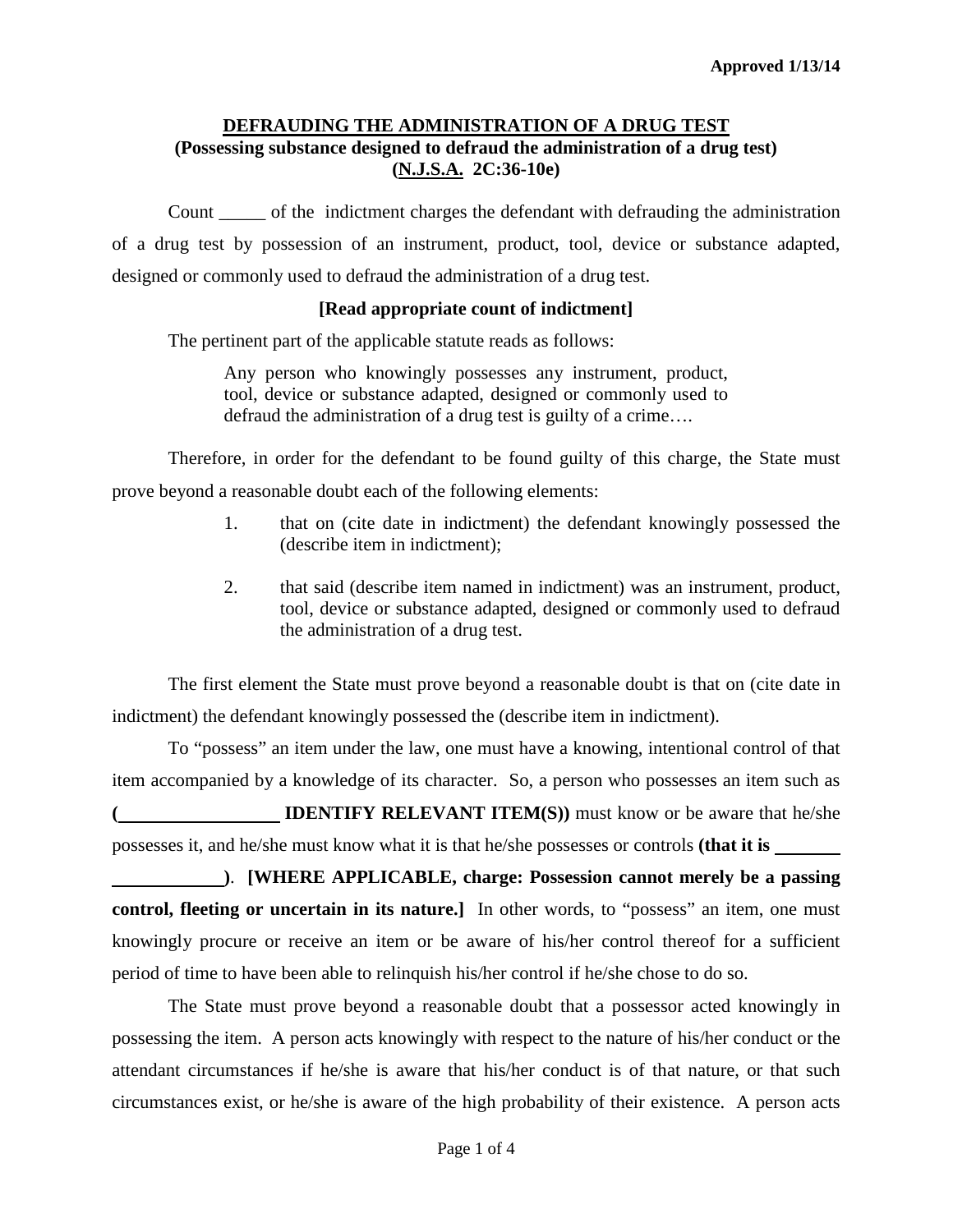## **DEFRAUDING THE ADMINISTRATION OF A DRUG TEST (Possessing substance designed to defraud the administration of a drug test) (N.J.S.A. 2C:36-10e)**

Count \_\_\_\_\_ of the indictment charges the defendant with defrauding the administration of a drug test by possession of an instrument, product, tool, device or substance adapted, designed or commonly used to defraud the administration of a drug test.

### **[Read appropriate count of indictment]**

The pertinent part of the applicable statute reads as follows:

Any person who knowingly possesses any instrument, product, tool, device or substance adapted, designed or commonly used to defraud the administration of a drug test is guilty of a crime….

Therefore, in order for the defendant to be found guilty of this charge, the State must prove beyond a reasonable doubt each of the following elements:

- 1. that on (cite date in indictment) the defendant knowingly possessed the (describe item in indictment);
- 2. that said (describe item named in indictment) was an instrument, product, tool, device or substance adapted, designed or commonly used to defraud the administration of a drug test.

The first element the State must prove beyond a reasonable doubt is that on (cite date in indictment) the defendant knowingly possessed the (describe item in indictment).

To "possess" an item under the law, one must have a knowing, intentional control of that item accompanied by a knowledge of its character. So, a person who possesses an item such as **IDENTIFY RELEVANT ITEM(S)**) must know or be aware that he/she possesses it, and he/she must know what it is that he/she possesses or controls **(that it is** 

**)**. **[WHERE APPLICABLE, charge: Possession cannot merely be a passing control, fleeting or uncertain in its nature.** In other words, to "possess" an item, one must knowingly procure or receive an item or be aware of his/her control thereof for a sufficient period of time to have been able to relinquish his/her control if he/she chose to do so.

The State must prove beyond a reasonable doubt that a possessor acted knowingly in possessing the item. A person acts knowingly with respect to the nature of his/her conduct or the attendant circumstances if he/she is aware that his/her conduct is of that nature, or that such circumstances exist, or he/she is aware of the high probability of their existence. A person acts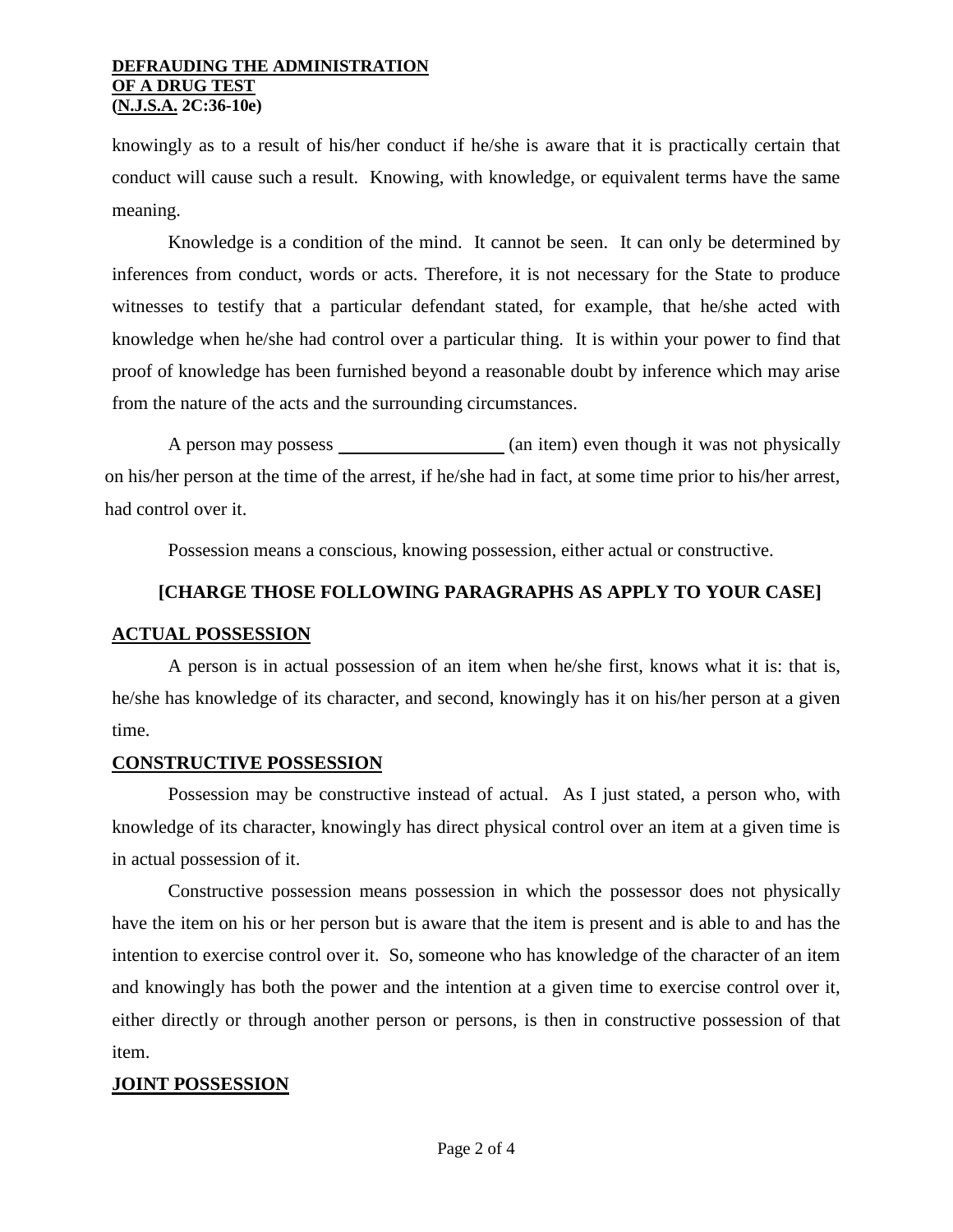#### **DEFRAUDING THE ADMINISTRATION OF A DRUG TEST (N.J.S.A. 2C:36-10e)**

knowingly as to a result of his/her conduct if he/she is aware that it is practically certain that conduct will cause such a result. Knowing, with knowledge, or equivalent terms have the same meaning.

Knowledge is a condition of the mind. It cannot be seen. It can only be determined by inferences from conduct, words or acts. Therefore, it is not necessary for the State to produce witnesses to testify that a particular defendant stated, for example, that he/she acted with knowledge when he/she had control over a particular thing. It is within your power to find that proof of knowledge has been furnished beyond a reasonable doubt by inference which may arise from the nature of the acts and the surrounding circumstances.

A person may possess (an item) even though it was not physically on his/her person at the time of the arrest, if he/she had in fact, at some time prior to his/her arrest, had control over it.

Possession means a conscious, knowing possession, either actual or constructive.

# **[CHARGE THOSE FOLLOWING PARAGRAPHS AS APPLY TO YOUR CASE]**

## **ACTUAL POSSESSION**

A person is in actual possession of an item when he/she first, knows what it is: that is, he/she has knowledge of its character, and second, knowingly has it on his/her person at a given time.

## **CONSTRUCTIVE POSSESSION**

Possession may be constructive instead of actual. As I just stated, a person who, with knowledge of its character, knowingly has direct physical control over an item at a given time is in actual possession of it.

Constructive possession means possession in which the possessor does not physically have the item on his or her person but is aware that the item is present and is able to and has the intention to exercise control over it. So, someone who has knowledge of the character of an item and knowingly has both the power and the intention at a given time to exercise control over it, either directly or through another person or persons, is then in constructive possession of that item.

## <span id="page-1-0"></span>**JOINT POSSESSION**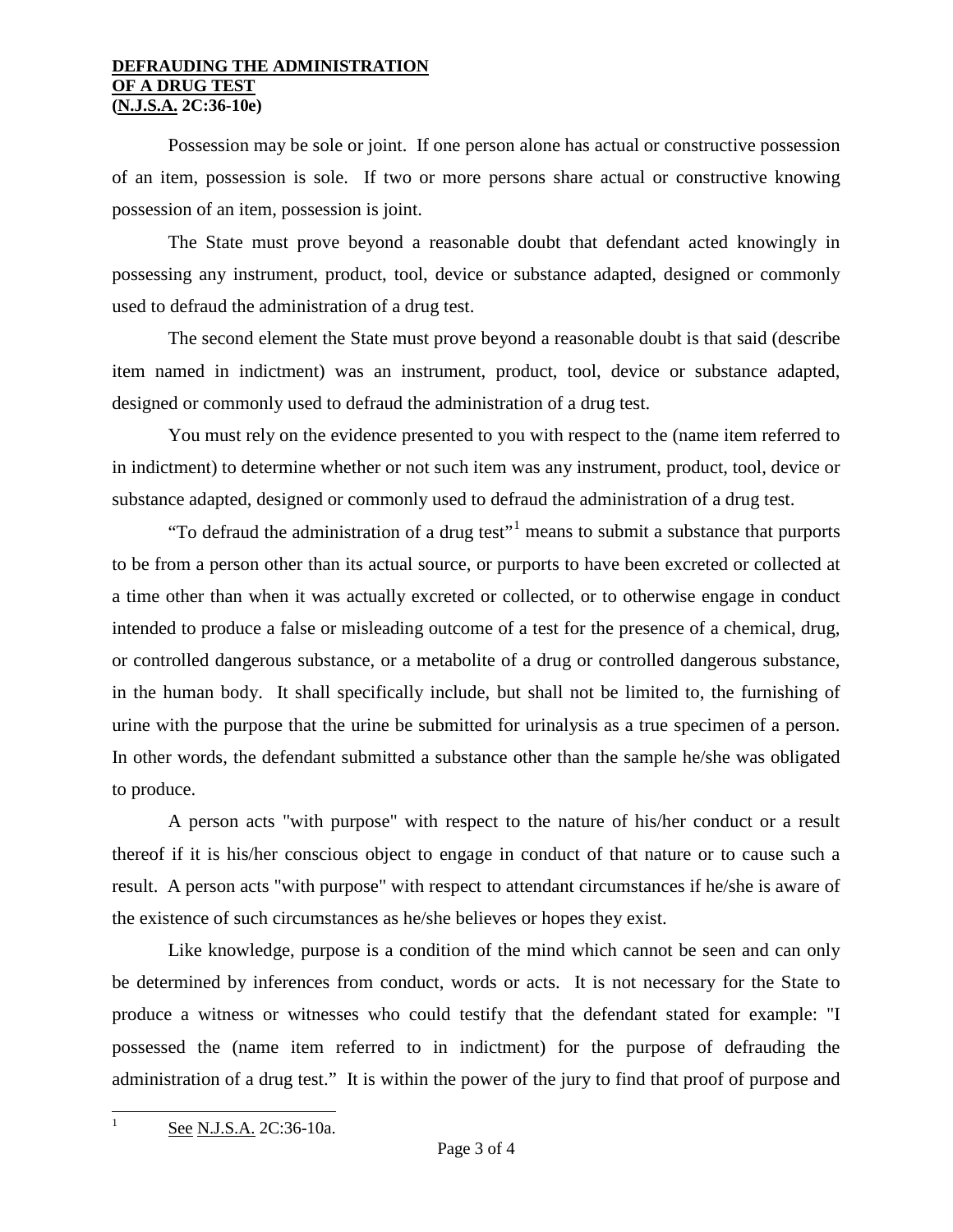#### **DEFRAUDING THE ADMINISTRATION OF A DRUG TEST (N.J.S.A. 2C:36-10e)**

Possession may be sole or joint. If one person alone has actual or constructive possession of an item, possession is sole. If two or more persons share actual or constructive knowing possession of an item, possession is joint.

The State must prove beyond a reasonable doubt that defendant acted knowingly in possessing any instrument, product, tool, device or substance adapted, designed or commonly used to defraud the administration of a drug test.

The second element the State must prove beyond a reasonable doubt is that said (describe item named in indictment) was an instrument, product, tool, device or substance adapted, designed or commonly used to defraud the administration of a drug test.

You must rely on the evidence presented to you with respect to the (name item referred to in indictment) to determine whether or not such item was any instrument, product, tool, device or substance adapted, designed or commonly used to defraud the administration of a drug test.

"To defraud the administration of a drug test"<sup>[1](#page-1-0)</sup> means to submit a substance that purports to be from a person other than its actual source, or purports to have been excreted or collected at a time other than when it was actually excreted or collected, or to otherwise engage in conduct intended to produce a false or misleading outcome of a test for the presence of a chemical, drug, or controlled dangerous substance, or a metabolite of a drug or controlled dangerous substance, in the human body. It shall specifically include, but shall not be limited to, the furnishing of urine with the purpose that the urine be submitted for urinalysis as a true specimen of a person. In other words, the defendant submitted a substance other than the sample he/she was obligated to produce.

A person acts "with purpose" with respect to the nature of his/her conduct or a result thereof if it is his/her conscious object to engage in conduct of that nature or to cause such a result. A person acts "with purpose" with respect to attendant circumstances if he/she is aware of the existence of such circumstances as he/she believes or hopes they exist.

Like knowledge, purpose is a condition of the mind which cannot be seen and can only be determined by inferences from conduct, words or acts. It is not necessary for the State to produce a witness or witnesses who could testify that the defendant stated for example: "I possessed the (name item referred to in indictment) for the purpose of defrauding the administration of a drug test." It is within the power of the jury to find that proof of purpose and

See N.J.S.A. 2C:36-10a.